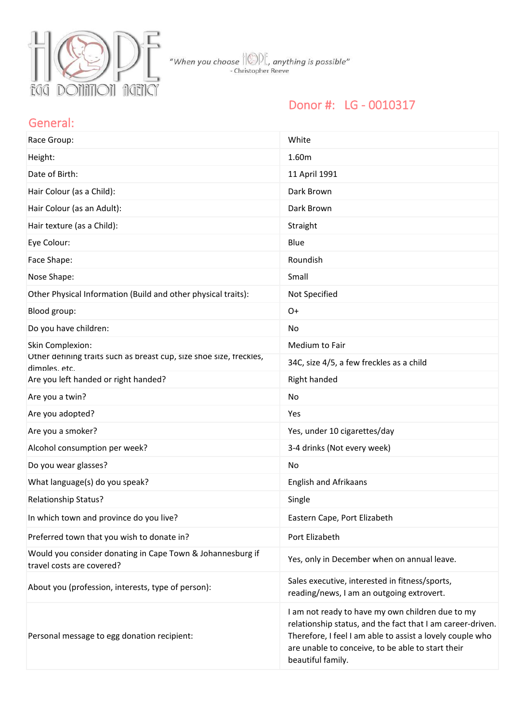

## Donor #: LG - 0010317

### General:

| Race Group:                                                                             | White                                                                                                                                                                                                                                                 |
|-----------------------------------------------------------------------------------------|-------------------------------------------------------------------------------------------------------------------------------------------------------------------------------------------------------------------------------------------------------|
| Height:                                                                                 | 1.60m                                                                                                                                                                                                                                                 |
| Date of Birth:                                                                          | 11 April 1991                                                                                                                                                                                                                                         |
| Hair Colour (as a Child):                                                               | Dark Brown                                                                                                                                                                                                                                            |
| Hair Colour (as an Adult):                                                              | Dark Brown                                                                                                                                                                                                                                            |
| Hair texture (as a Child):                                                              | Straight                                                                                                                                                                                                                                              |
| Eye Colour:                                                                             | Blue                                                                                                                                                                                                                                                  |
| Face Shape:                                                                             | Roundish                                                                                                                                                                                                                                              |
| Nose Shape:                                                                             | Small                                                                                                                                                                                                                                                 |
| Other Physical Information (Build and other physical traits):                           | Not Specified                                                                                                                                                                                                                                         |
| Blood group:                                                                            | $O+$                                                                                                                                                                                                                                                  |
| Do you have children:                                                                   | No                                                                                                                                                                                                                                                    |
| Skin Complexion:                                                                        | Medium to Fair                                                                                                                                                                                                                                        |
| Other defining traits such as breast cup, size shoe size, treckles,<br>dimnles etc      | 34C, size 4/5, a few freckles as a child                                                                                                                                                                                                              |
| Are you left handed or right handed?                                                    | Right handed                                                                                                                                                                                                                                          |
| Are you a twin?                                                                         | No                                                                                                                                                                                                                                                    |
| Are you adopted?                                                                        | Yes                                                                                                                                                                                                                                                   |
| Are you a smoker?                                                                       | Yes, under 10 cigarettes/day                                                                                                                                                                                                                          |
| Alcohol consumption per week?                                                           | 3-4 drinks (Not every week)                                                                                                                                                                                                                           |
| Do you wear glasses?                                                                    | No                                                                                                                                                                                                                                                    |
| What language(s) do you speak?                                                          | English and Afrikaans                                                                                                                                                                                                                                 |
| <b>Relationship Status?</b>                                                             | Single                                                                                                                                                                                                                                                |
| In which town and province do you live?                                                 | Eastern Cape, Port Elizabeth                                                                                                                                                                                                                          |
| Preferred town that you wish to donate in?                                              | Port Elizabeth                                                                                                                                                                                                                                        |
| Would you consider donating in Cape Town & Johannesburg if<br>travel costs are covered? | Yes, only in December when on annual leave.                                                                                                                                                                                                           |
| About you (profession, interests, type of person):                                      | Sales executive, interested in fitness/sports,<br>reading/news, I am an outgoing extrovert.                                                                                                                                                           |
| Personal message to egg donation recipient:                                             | I am not ready to have my own children due to my<br>relationship status, and the fact that I am career-driven.<br>Therefore, I feel I am able to assist a lovely couple who<br>are unable to conceive, to be able to start their<br>beautiful family. |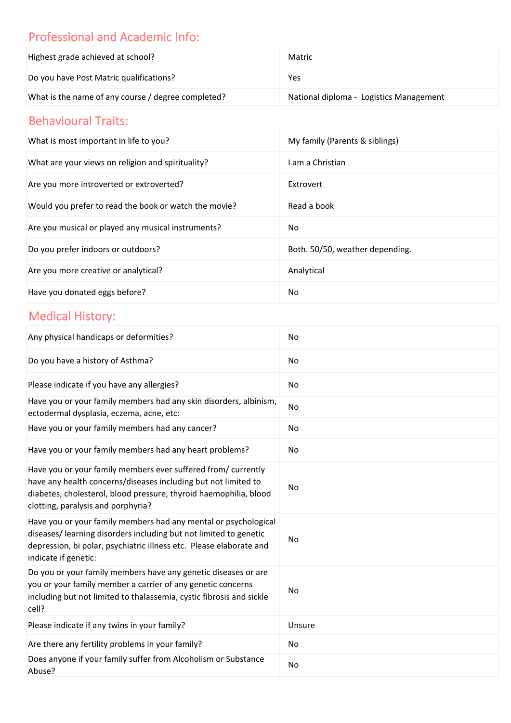# Professional and Academic Info:

| Highest grade achieved at school?                  | Matric                                  |
|----------------------------------------------------|-----------------------------------------|
| Do you have Post Matric qualifications?            | Yes                                     |
| What is the name of any course / degree completed? | National diploma - Logistics Management |

# Behavioural Traits:

| What is most important in life to you?                | My family (Parents & siblings)  |
|-------------------------------------------------------|---------------------------------|
| What are your views on religion and spirituality?     | I am a Christian                |
| Are you more introverted or extroverted?              | Extrovert                       |
| Would you prefer to read the book or watch the movie? | Read a book                     |
| Are you musical or played any musical instruments?    | No.                             |
| Do you prefer indoors or outdoors?                    | Both. 50/50, weather depending. |
| Are you more creative or analytical?                  | Analytical                      |
| Have you donated eggs before?                         | No.                             |

# Medical History:

| Any physical handicaps or deformities?                                                                                                                                                                                                     | <b>No</b> |
|--------------------------------------------------------------------------------------------------------------------------------------------------------------------------------------------------------------------------------------------|-----------|
| Do you have a history of Asthma?                                                                                                                                                                                                           | No        |
| Please indicate if you have any allergies?                                                                                                                                                                                                 | <b>No</b> |
| Have you or your family members had any skin disorders, albinism,<br>ectodermal dysplasia, eczema, acne, etc:                                                                                                                              | No        |
| Have you or your family members had any cancer?                                                                                                                                                                                            | <b>No</b> |
| Have you or your family members had any heart problems?                                                                                                                                                                                    | No        |
| Have you or your family members ever suffered from/ currently<br>have any health concerns/diseases including but not limited to<br>diabetes, cholesterol, blood pressure, thyroid haemophilia, blood<br>clotting, paralysis and porphyria? | <b>No</b> |
| Have you or your family members had any mental or psychological<br>diseases/ learning disorders including but not limited to genetic<br>depression, bi polar, psychiatric illness etc. Please elaborate and<br>indicate if genetic:        | <b>No</b> |
| Do you or your family members have any genetic diseases or are<br>you or your family member a carrier of any genetic concerns<br>including but not limited to thalassemia, cystic fibrosis and sickle<br>cell?                             | No        |
| Please indicate if any twins in your family?                                                                                                                                                                                               | Unsure    |
| Are there any fertility problems in your family?                                                                                                                                                                                           | No        |
| Does anyone if your family suffer from Alcoholism or Substance<br>Abuse?                                                                                                                                                                   | No        |